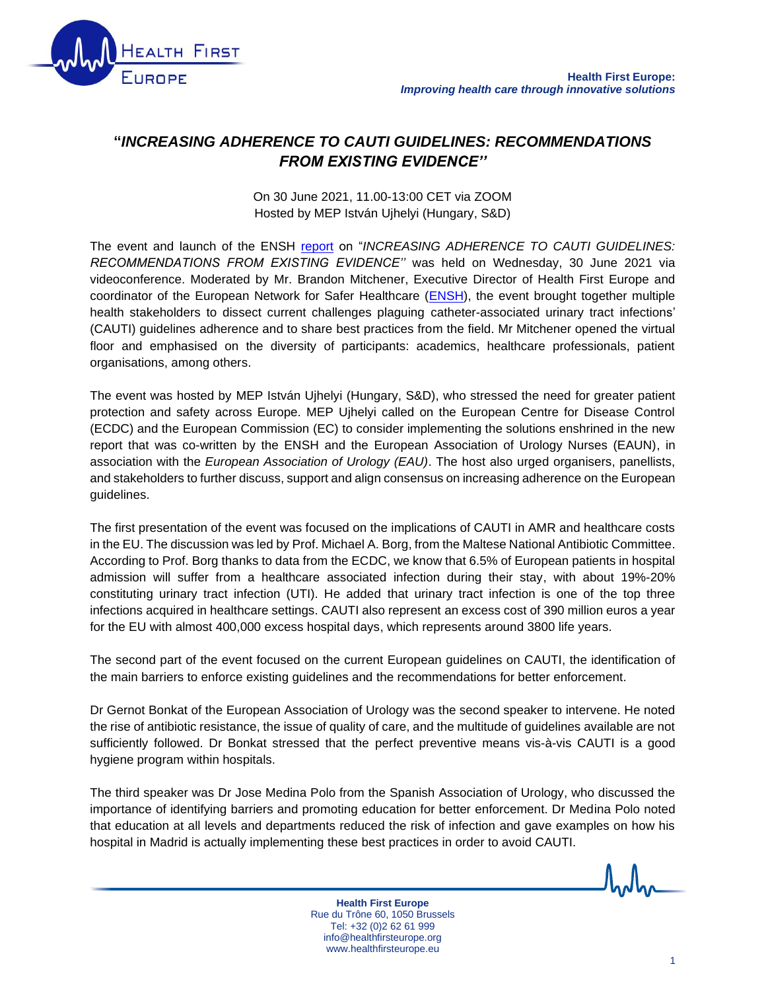

## **"***INCREASING ADHERENCE TO CAUTI GUIDELINES: RECOMMENDATIONS FROM EXISTING EVIDENCE''*

On 30 June 2021, 11.00-13:00 CET via ZOOM Hosted by MEP István Ujhelyi (Hungary, S&D)

The event and launch of the ENSH [report](http://healthfirsteurope.eu/publication/increasing-adherence-to-cauti-guidelines-recommendations-from-existing-evidence/) on "*INCREASING ADHERENCE TO CAUTI GUIDELINES: RECOMMENDATIONS FROM EXISTING EVIDENCE''* was held on Wednesday, 30 June 2021 via videoconference. Moderated by Mr. Brandon Mitchener, Executive Director of Health First Europe and coordinator of the European Network for Safer Healthcare [\(ENSH\)](https://www.eusaferhealthcare.eu/), the event brought together multiple health stakeholders to dissect current challenges plaguing catheter-associated urinary tract infections' (CAUTI) guidelines adherence and to share best practices from the field. Mr Mitchener opened the virtual floor and emphasised on the diversity of participants: academics, healthcare professionals, patient organisations, among others.

The event was hosted by MEP István Ujhelyi (Hungary, S&D), who stressed the need for greater patient protection and safety across Europe. MEP Ujhelyi called on the European Centre for Disease Control (ECDC) and the European Commission (EC) to consider implementing the solutions enshrined in the new report that was co-written by the ENSH and the European Association of Urology Nurses (EAUN), in association with the *European Association of Urology (EAU)*. The host also urged organisers, panellists, and stakeholders to further discuss, support and align consensus on increasing adherence on the European guidelines.

The first presentation of the event was focused on the implications of CAUTI in AMR and healthcare costs in the EU. The discussion was led by Prof. Michael A. Borg, from the Maltese National Antibiotic Committee. According to Prof. Borg thanks to data from the ECDC, we know that 6.5% of European patients in hospital admission will suffer from a healthcare associated infection during their stay, with about 19%-20% constituting urinary tract infection (UTI). He added that urinary tract infection is one of the top three infections acquired in healthcare settings. CAUTI also represent an excess cost of 390 million euros a year for the EU with almost 400,000 excess hospital days, which represents around 3800 life years.

The second part of the event focused on the current European guidelines on CAUTI, the identification of the main barriers to enforce existing guidelines and the recommendations for better enforcement.

Dr Gernot Bonkat of the European Association of Urology was the second speaker to intervene. He noted the rise of antibiotic resistance, the issue of quality of care, and the multitude of guidelines available are not sufficiently followed. Dr Bonkat stressed that the perfect preventive means vis-à-vis CAUTI is a good hygiene program within hospitals.

The third speaker was Dr Jose Medina Polo from the Spanish Association of Urology, who discussed the importance of identifying barriers and promoting education for better enforcement. Dr Medina Polo noted that education at all levels and departments reduced the risk of infection and gave examples on how his hospital in Madrid is actually implementing these best practices in order to avoid CAUTI.

> **Health First Europe** Rue du Trône 60, 1050 Brussels Tel: +32 (0)2 62 61 999 info@healthfirsteurope.org www.healthfirsteurope.eu